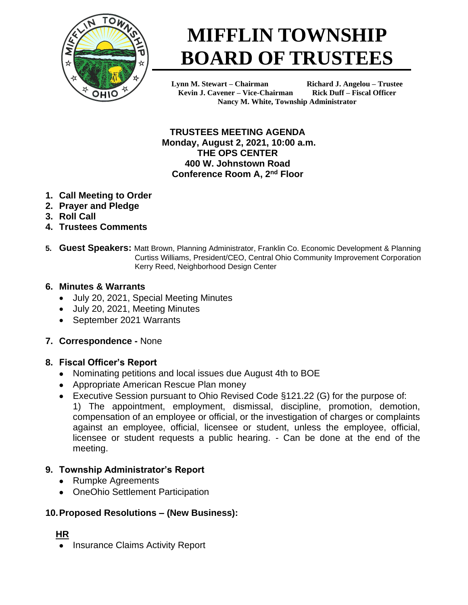

# **MIFFLIN TOWNSHIP BOARD OF TRUSTEES**

**Lynn M. Stewart – Chairman Richard J. Angelou – Trustee Kevin J. Cavener – Vice-Chairman Rick Duff – Fiscal Officer Nancy M. White, Township Administrator**

**TRUSTEES MEETING AGENDA Monday, August 2, 2021, 10:00 a.m. THE OPS CENTER 400 W. Johnstown Road Conference Room A, 2nd Floor**

- **1. Call Meeting to Order**
- **2. Prayer and Pledge**
- **3. Roll Call**
- **4. Trustees Comments**
- **5. Guest Speakers:** Matt Brown, Planning Administrator, Franklin Co. Economic Development & Planning Curtiss Williams, President/CEO, Central Ohio Community Improvement Corporation Kerry Reed, Neighborhood Design Center

## **6. Minutes & Warrants**

- July 20, 2021, Special Meeting Minutes
- July 20, 2021, Meeting Minutes
- September 2021 Warrants

## **7. Correspondence -** None

## **8. Fiscal Officer's Report**

- Nominating petitions and local issues due August 4th to BOE
- Appropriate American Rescue Plan money
- Executive Session pursuant to Ohio Revised Code §121.22 (G) for the purpose of: 1) The appointment, employment, dismissal, discipline, promotion, demotion, compensation of an employee or official, or the investigation of charges or complaints against an employee, official, licensee or student, unless the employee, official, licensee or student requests a public hearing. - Can be done at the end of the meeting.

# **9. Township Administrator's Report**

- Rumpke Agreements
- OneOhio Settlement Participation

# **10.Proposed Resolutions – (New Business):**

## **HR**

• Insurance Claims Activity Report